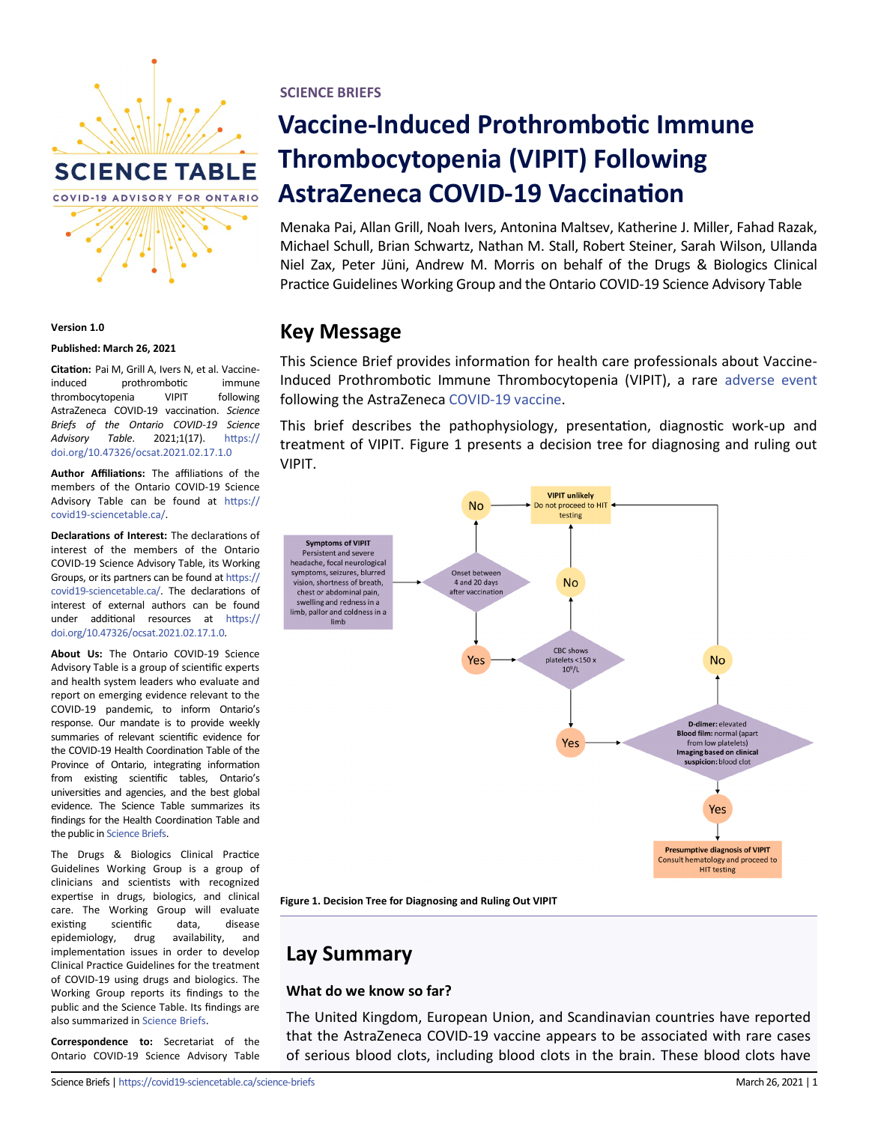

#### **Version 1.0**

#### **Published: March 26, 2021**

**Citation:** Pai M, Grill A, Ivers N, et al. Vaccineinduced prothrombotic immune thrombocytopenia VIPIT following AstraZeneca COVID-19 vaccination. *Science Briefs of the Ontario COVID-19 Science Advisory Table*. 2021;1(17). [https://](https://doi.org/10.47326/ocsat.2021.02.17.1.0) [doi.org/10.47326/ocsat.2021.02.17.1.0](https://doi.org/10.47326/ocsat.2021.02.17.1.0)

**Author Affiliations:** The affiliations of the members of the Ontario COVID-19 Science Advisory Table can be found at [https://](https://covid19-sciencetable.ca/) covid19-[sciencetable.ca/.](https://covid19-sciencetable.ca/)

**Declarations of Interest:** The declarations of interest of the members of the Ontario COVID-19 Science Advisory Table, its Working Groups, or its partners can be found at [https://](https://covid19-sciencetable.ca/) covid19-[sciencetable.ca/.](https://covid19-sciencetable.ca/) The declarations of interest of external authors can be found under additional resources at [https://](https://doi.org/10.47326/ocsat.2021.02.17.1.0) [doi.org/10.47326/ocsat.2021.02.17.1.0.](https://doi.org/10.47326/ocsat.2021.02.17.1.0)

**About Us:** The Ontario COVID-19 Science Advisory Table is a group of scientific experts and health system leaders who evaluate and report on emerging evidence relevant to the COVID-19 pandemic, to inform Ontario's response. Our mandate is to provide weekly summaries of relevant scientific evidence for the COVID-19 Health Coordination Table of the Province of Ontario, integrating information from existing scientific tables, Ontario's universities and agencies, and the best global evidence. The Science Table summarizes its findings for the Health Coordination Table and the public in [Science Briefs.](http://www.covid19-sciencetable.ca/sciencebriefs)

The Drugs & Biologics Clinical Practice Guidelines Working Group is a group of clinicians and scientists with recognized expertise in drugs, biologics, and clinical care. The Working Group will evaluate existing scientific data, disease epidemiology, drug availability, and implementation issues in order to develop Clinical Practice Guidelines for the treatment of COVID-19 using drugs and biologics. The Working Group reports its findings to the public and the Science Table. Its findings are also summarized in [Science Briefs.](http://www.covid19-sciencetable.ca/sciencebriefs)

**Correspondence to:** Secretariat of the Ontario COVID-19 Science Advisory Table **SCIENCE BRIEFS**

# **Vaccine-Induced Prothrombotic Immune Thrombocytopenia (VIPIT) Following AstraZeneca COVID-19 Vaccination**

Menaka Pai, Allan Grill, Noah Ivers, Antonina Maltsev, Katherine J. Miller, Fahad Razak, Michael Schull, Brian Schwartz, Nathan M. Stall, Robert Steiner, Sarah Wilson, Ullanda Niel Zax, Peter Jüni, Andrew M. Morris on behalf of the Drugs & Biologics Clinical Practice Guidelines Working Group and the Ontario COVID-19 Science Advisory Table

### **Key Message**

This Science Brief provides information for health care professionals about Vaccine-Induced Prothrombotic Immune Thrombocytopenia (VIPIT), a rare [adverse event](https://covid19-sciencetable.ca/glossary/#adverse-event) following the AstraZeneca [COVID](https://covid19-sciencetable.ca/glossary/#covid-19)-19 [vaccine.](https://covid19-sciencetable.ca/glossary/#vaccine) 

This brief describes the pathophysiology, presentation, diagnostic work-up and treatment of VIPIT. Figure 1 presents a decision tree for diagnosing and ruling out VIPIT.





### **Lay Summary**

#### **What do we know so far?**

The United Kingdom, European Union, and Scandinavian countries have reported that the AstraZeneca COVID-19 vaccine appears to be associated with rare cases of serious blood clots, including blood clots in the brain. These blood clots have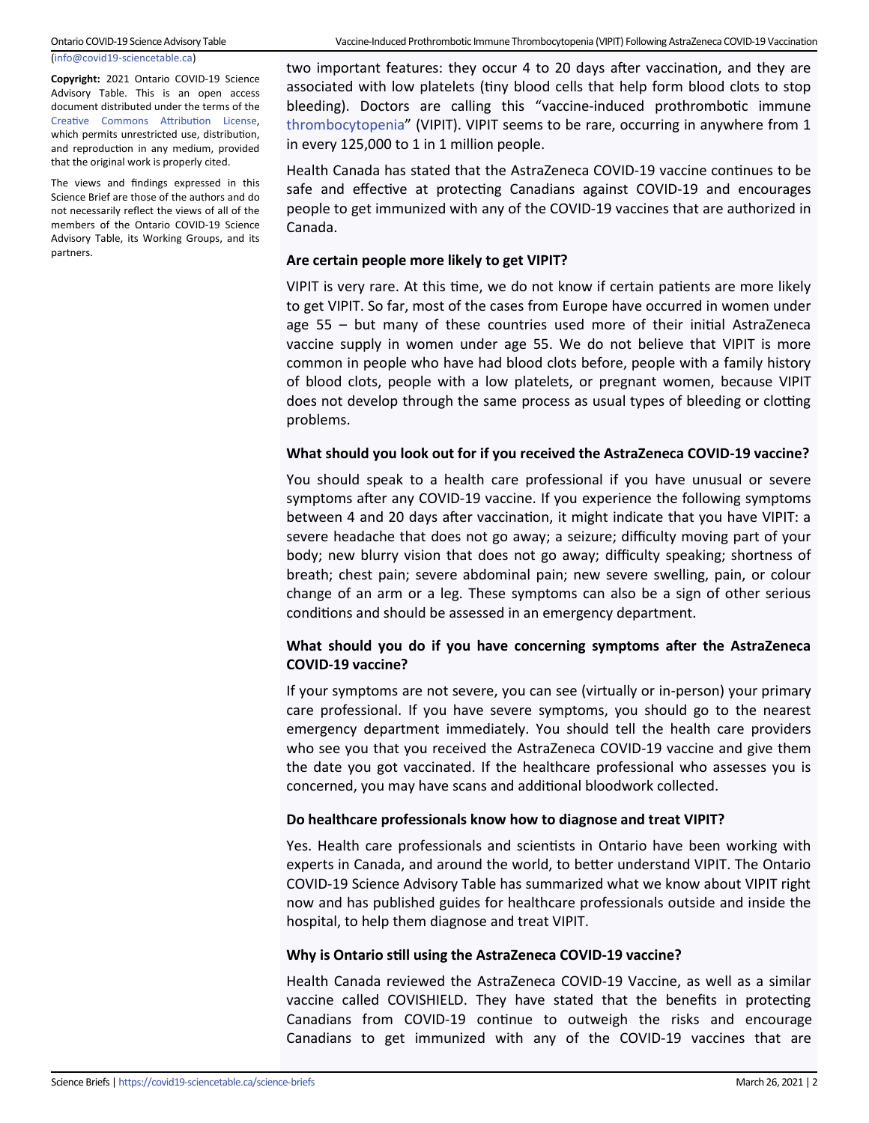(info@covid19-[sciencetable.ca\)](mailto:info@covid19-sciencetable.ca)

**Copyright:** 2021 Ontario COVID-19 Science Advisory Table. This is an open access document distributed under the terms of the [Creative Commons Attribution License,](https://creativecommons.org/licenses/by/4.0/) which permits unrestricted use, distribution, and reproduction in any medium, provided that the original work is properly cited.

The views and findings expressed in this Science Brief are those of the authors and do not necessarily reflect the views of all of the members of the Ontario COVID-19 Science Advisory Table, its Working Groups, and its partners.

two important features: they occur 4 to 20 days after vaccination, and they are associated with low platelets (tiny blood cells that help form blood clots to stop bleeding). Doctors are calling this "vaccine-induced prothrombotic immune [thrombocytopenia](https://covid19-sciencetable.ca/glossary/#thrombocytopenia)" (VIPIT). VIPIT seems to be rare, occurring in anywhere from 1 in every 125,000 to 1 in 1 million people.

Health Canada has stated that the AstraZeneca COVID-19 vaccine continues to be safe and effective at protecting Canadians against COVID-19 and encourages people to get immunized with any of the COVID-19 vaccines that are authorized in Canada.

#### **Are certain people more likely to get VIPIT?**

VIPIT is very rare. At this time, we do not know if certain patients are more likely to get VIPIT. So far, most of the cases from Europe have occurred in women under age 55 – but many of these countries used more of their initial AstraZeneca vaccine supply in women under age 55. We do not believe that VIPIT is more common in people who have had blood clots before, people with a family history of blood clots, people with a low platelets, or pregnant women, because VIPIT does not develop through the same process as usual types of bleeding or clotting problems.

#### **What should you look out for if you received the AstraZeneca COVID-19 vaccine?**

You should speak to a health care professional if you have unusual or severe symptoms after any COVID-19 vaccine. If you experience the following symptoms between 4 and 20 days after vaccination, it might indicate that you have VIPIT: a severe headache that does not go away; a seizure; difficulty moving part of your body; new blurry vision that does not go away; difficulty speaking; shortness of breath; chest pain; severe abdominal pain; new severe swelling, pain, or colour change of an arm or a leg. These symptoms can also be a sign of other serious conditions and should be assessed in an emergency department.

### **What should you do if you have concerning symptoms after the AstraZeneca COVID-19 vaccine?**

If your symptoms are not severe, you can see (virtually or in-person) your primary care professional. If you have severe symptoms, you should go to the nearest emergency department immediately. You should tell the health care providers who see you that you received the AstraZeneca COVID-19 vaccine and give them the date you got vaccinated. If the healthcare professional who assesses you is concerned, you may have scans and additional bloodwork collected.

#### **Do healthcare professionals know how to diagnose and treat VIPIT?**

Yes. Health care professionals and scientists in Ontario have been working with experts in Canada, and around the world, to better understand VIPIT. The Ontario COVID-19 Science Advisory Table has summarized what we know about VIPIT right now and has published guides for healthcare professionals outside and inside the hospital, to help them diagnose and treat VIPIT.

#### **Why is Ontario still using the AstraZeneca COVID-19 vaccine?**

Health Canada reviewed the AstraZeneca COVID-19 Vaccine, as well as a similar vaccine called COVISHIELD. They have stated that the benefits in protecting Canadians from COVID-19 continue to outweigh the risks and encourage Canadians to get immunized with any of the COVID-19 vaccines that are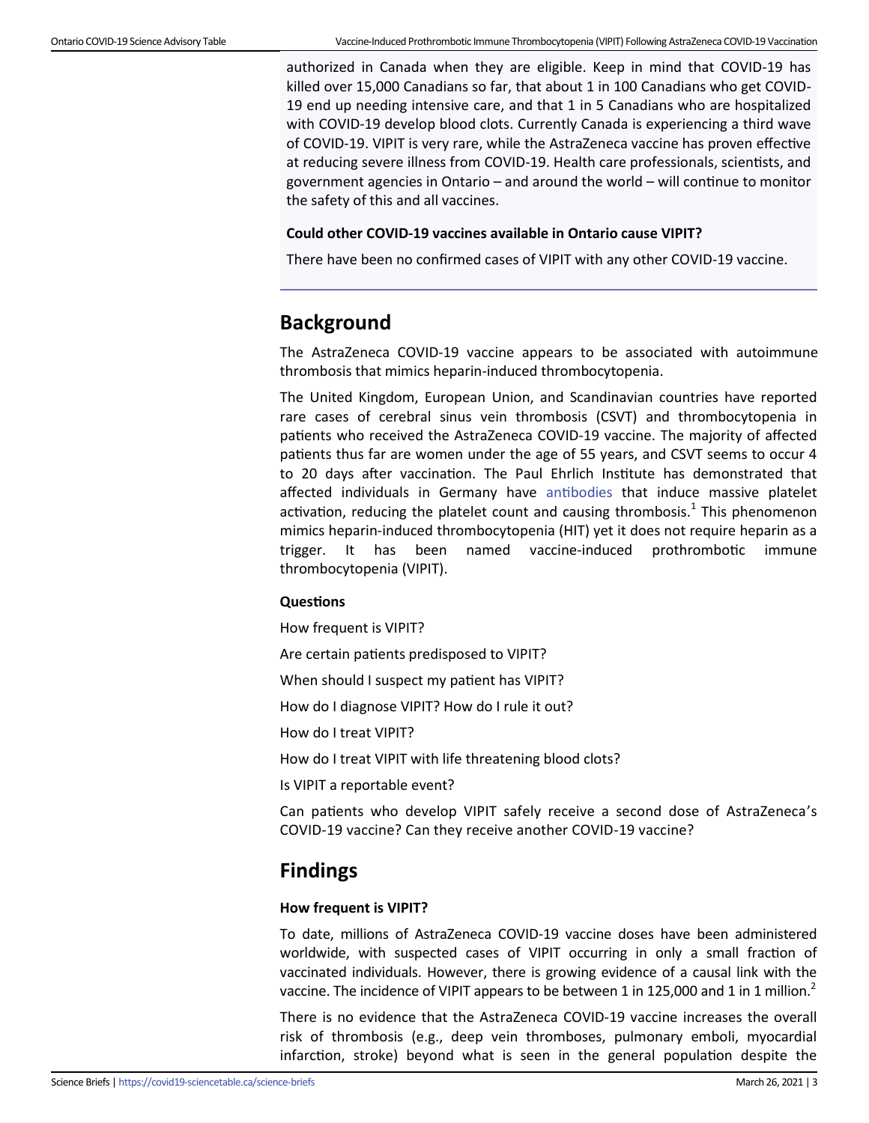authorized in Canada when they are eligible. Keep in mind that COVID-19 has killed over 15,000 Canadians so far, that about 1 in 100 Canadians who get COVID-19 end up needing intensive care, and that 1 in 5 Canadians who are hospitalized with COVID-19 develop blood clots. Currently Canada is experiencing a third wave of COVID-19. VIPIT is very rare, while the AstraZeneca vaccine has proven effective at reducing severe illness from COVID-19. Health care professionals, scientists, and government agencies in Ontario – and around the world – will continue to monitor the safety of this and all vaccines.

### **Could other COVID-19 vaccines available in Ontario cause VIPIT?**

There have been no confirmed cases of VIPIT with any other COVID-19 vaccine.

### **Background**

The AstraZeneca COVID-19 vaccine appears to be associated with autoimmune thrombosis that mimics heparin-induced thrombocytopenia.

The United Kingdom, European Union, and Scandinavian countries have reported rare cases of cerebral sinus vein thrombosis (CSVT) and thrombocytopenia in patients who received the AstraZeneca COVID-19 vaccine. The majority of affected patients thus far are women under the age of 55 years, and CSVT seems to occur 4 to 20 days after vaccination. The Paul Ehrlich Institute has demonstrated that affected individuals in Germany have [antibodies](https://covid19-sciencetable.ca/glossary/#antibody) that induce massive platelet activation, reducing the platelet count and causing thrombosis.<sup>1</sup> This phenomenon mimics heparin-induced thrombocytopenia (HIT) yet it does not require heparin as a trigger. It has been named vaccine-induced prothrombotic immune thrombocytopenia (VIPIT).

### **Questions**

How frequent is VIPIT?

Are certain patients predisposed to VIPIT?

When should I suspect my patient has VIPIT?

How do I diagnose VIPIT? How do I rule it out?

How do I treat VIPIT?

How do I treat VIPIT with life threatening blood clots?

Is VIPIT a reportable event?

Can patients who develop VIPIT safely receive a second dose of AstraZeneca's COVID-19 vaccine? Can they receive another COVID-19 vaccine?

### **Findings**

#### **How frequent is VIPIT?**

To date, millions of AstraZeneca COVID-19 vaccine doses have been administered worldwide, with suspected cases of VIPIT occurring in only a small fraction of vaccinated individuals. However, there is growing evidence of a causal link with the vaccine. The incidence of VIPIT appears to be between 1 in 125,000 and 1 in 1 million.<sup>2</sup>

There is no evidence that the AstraZeneca COVID-19 vaccine increases the overall risk of thrombosis (e.g., deep vein thromboses, pulmonary emboli, myocardial infarction, stroke) beyond what is seen in the general population despite the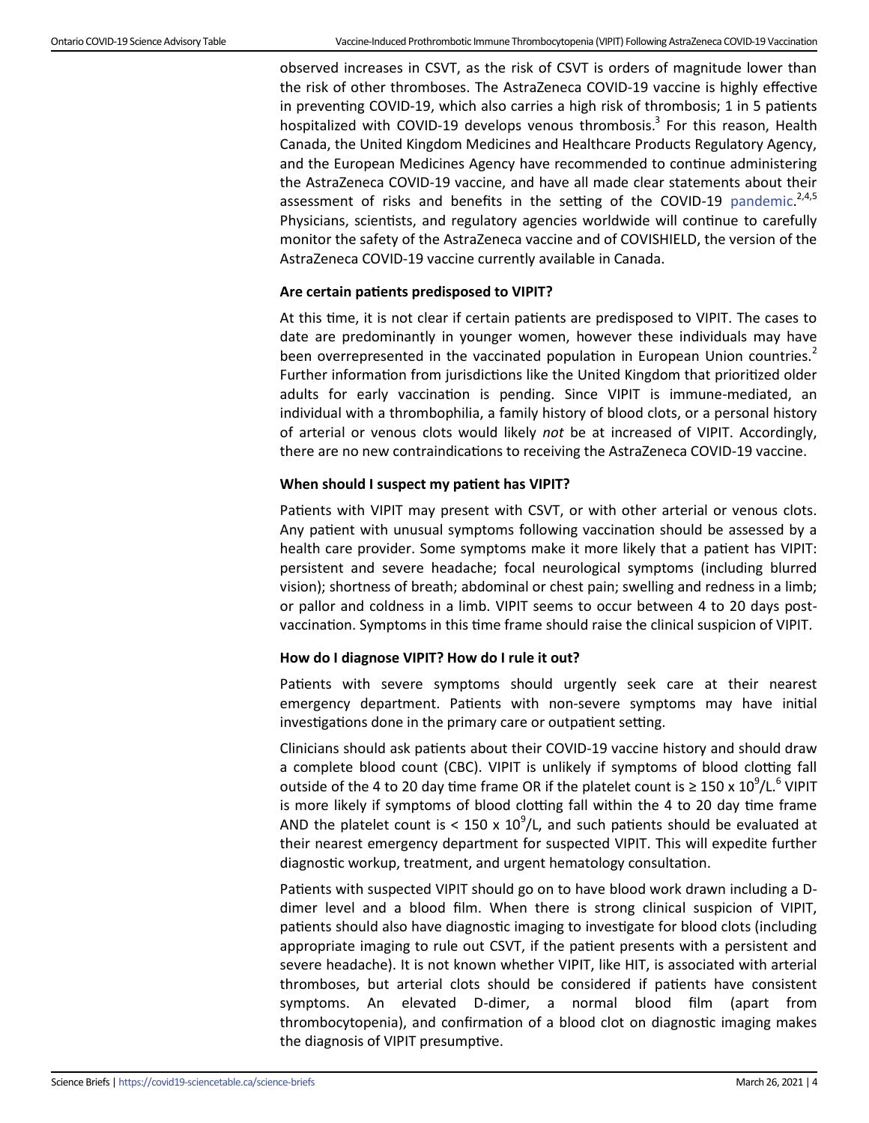observed increases in CSVT, as the risk of CSVT is orders of magnitude lower than the risk of other thromboses. The AstraZeneca COVID-19 vaccine is highly effective in preventing COVID-19, which also carries a high risk of thrombosis; 1 in 5 patients hospitalized with COVID-19 develops venous thrombosis.<sup>3</sup> For this reason, Health Canada, the United Kingdom Medicines and Healthcare Products Regulatory Agency, and the European Medicines Agency have recommended to continue administering the AstraZeneca COVID-19 vaccine, and have all made clear statements about their assessment of risks and benefits in the setting of the COVID-19 [pandemic.](https://covid19-sciencetable.ca/glossary/#pandemic)<sup>2,4,5</sup> Physicians, scientists, and regulatory agencies worldwide will continue to carefully monitor the safety of the AstraZeneca vaccine and of COVISHIELD, the version of the AstraZeneca COVID-19 vaccine currently available in Canada.

#### **Are certain patients predisposed to VIPIT?**

At this time, it is not clear if certain patients are predisposed to VIPIT. The cases to date are predominantly in younger women, however these individuals may have been overrepresented in the vaccinated population in European Union countries.<sup>2</sup> Further information from jurisdictions like the United Kingdom that prioritized older adults for early vaccination is pending. Since VIPIT is immune-mediated, an individual with a thrombophilia, a family history of blood clots, or a personal history of arterial or venous clots would likely *not* be at increased of VIPIT. Accordingly, there are no new contraindications to receiving the AstraZeneca COVID-19 vaccine.

#### **When should I suspect my patient has VIPIT?**

Patients with VIPIT may present with CSVT, or with other arterial or venous clots. Any patient with unusual symptoms following vaccination should be assessed by a health care provider. Some symptoms make it more likely that a patient has VIPIT: persistent and severe headache; focal neurological symptoms (including blurred vision); shortness of breath; abdominal or chest pain; swelling and redness in a limb; or pallor and coldness in a limb. VIPIT seems to occur between 4 to 20 days postvaccination. Symptoms in this time frame should raise the clinical suspicion of VIPIT.

### **How do I diagnose VIPIT? How do I rule it out?**

Patients with severe symptoms should urgently seek care at their nearest emergency department. Patients with non-severe symptoms may have initial investigations done in the primary care or outpatient setting.

Clinicians should ask patients about their COVID-19 vaccine history and should draw a complete blood count (CBC). VIPIT is unlikely if symptoms of blood clotting fall outside of the 4 to 20 day time frame OR if the platelet count is  $\geq 150 \times 10^9 / L$ .<sup>6</sup> VIPIT is more likely if symptoms of blood clotting fall within the 4 to 20 day time frame AND the platelet count is < 150 x  $10^9$ /L, and such patients should be evaluated at their nearest emergency department for suspected VIPIT. This will expedite further diagnostic workup, treatment, and urgent hematology consultation.

Patients with suspected VIPIT should go on to have blood work drawn including a Ddimer level and a blood film. When there is strong clinical suspicion of VIPIT, patients should also have diagnostic imaging to investigate for blood clots (including appropriate imaging to rule out CSVT, if the patient presents with a persistent and severe headache). It is not known whether VIPIT, like HIT, is associated with arterial thromboses, but arterial clots should be considered if patients have consistent symptoms. An elevated D-dimer, a normal blood film (apart from thrombocytopenia), and confirmation of a blood clot on diagnostic imaging makes the diagnosis of VIPIT presumptive.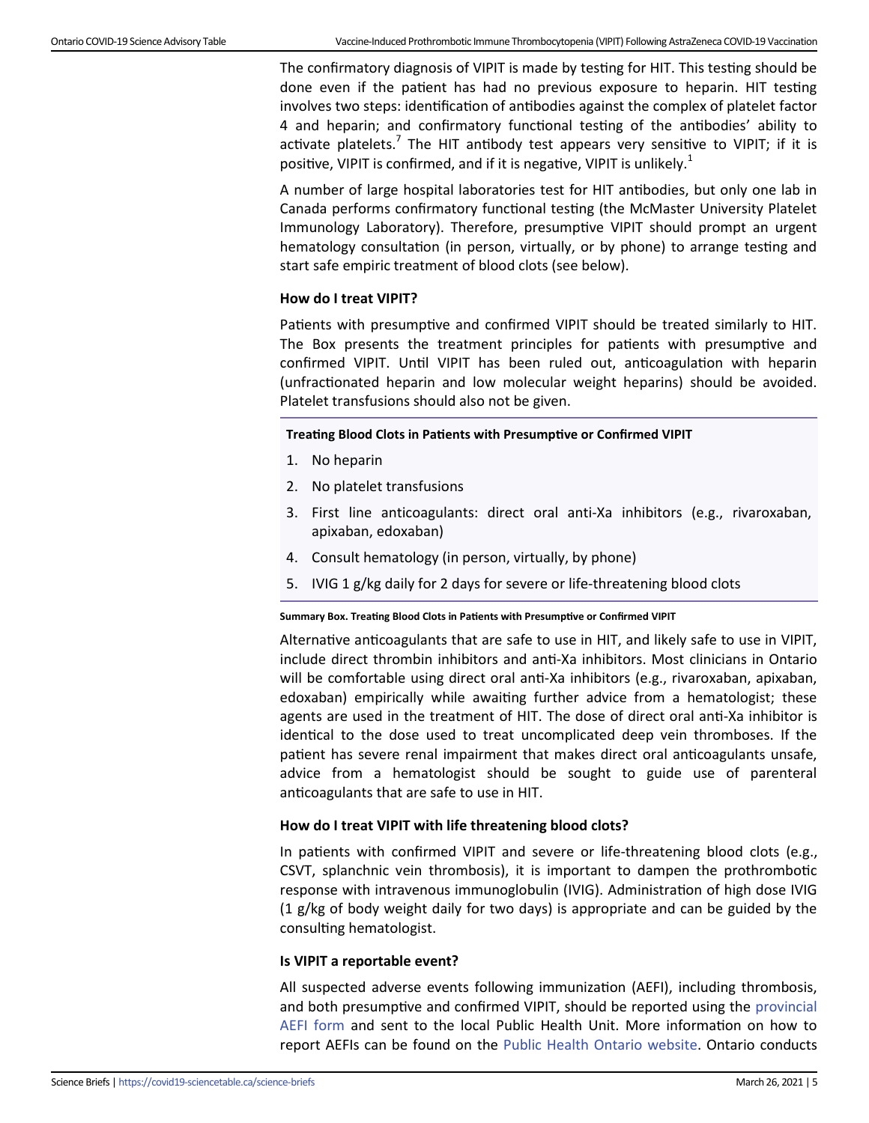The confirmatory diagnosis of VIPIT is made by testing for HIT. This testing should be done even if the patient has had no previous exposure to heparin. HIT testing involves two steps: identification of antibodies against the complex of platelet factor 4 and heparin; and confirmatory functional testing of the antibodies' ability to activate platelets.<sup>7</sup> The HIT antibody test appears very sensitive to VIPIT; if it is positive, VIPIT is confirmed, and if it is negative, VIPIT is unlikely.<sup>1</sup>

A number of large hospital laboratories test for HIT antibodies, but only one lab in Canada performs confirmatory functional testing (the McMaster University Platelet Immunology Laboratory). Therefore, presumptive VIPIT should prompt an urgent hematology consultation (in person, virtually, or by phone) to arrange testing and start safe empiric treatment of blood clots (see below).

#### **How do I treat VIPIT?**

Patients with presumptive and confirmed VIPIT should be treated similarly to HIT. The Box presents the treatment principles for patients with presumptive and confirmed VIPIT. Until VIPIT has been ruled out, anticoagulation with heparin (unfractionated heparin and low molecular weight heparins) should be avoided. Platelet transfusions should also not be given.

#### **Treating Blood Clots in Patients with Presumptive or Confirmed VIPIT**

- 1. No heparin
- 2. No platelet transfusions
- 3. First line anticoagulants: direct oral anti-Xa inhibitors (e.g., rivaroxaban, apixaban, edoxaban)
- 4. Consult hematology (in person, virtually, by phone)
- 5. IVIG 1 g/kg daily for 2 days for severe or life-threatening blood clots

#### **Summary Box. Treating Blood Clots in Patients with Presumptive or Confirmed VIPIT**

Alternative anticoagulants that are safe to use in HIT, and likely safe to use in VIPIT, include direct thrombin inhibitors and anti-Xa inhibitors. Most clinicians in Ontario will be comfortable using direct oral anti-Xa inhibitors (e.g., rivaroxaban, apixaban, edoxaban) empirically while awaiting further advice from a hematologist; these agents are used in the treatment of HIT. The dose of direct oral anti-Xa inhibitor is identical to the dose used to treat uncomplicated deep vein thromboses. If the patient has severe renal impairment that makes direct oral anticoagulants unsafe, advice from a hematologist should be sought to guide use of parenteral anticoagulants that are safe to use in HIT.

#### **How do I treat VIPIT with life threatening blood clots?**

In patients with confirmed VIPIT and severe or life-threatening blood clots (e.g., CSVT, splanchnic vein thrombosis), it is important to dampen the prothrombotic response with intravenous immunoglobulin (IVIG). Administration of high dose IVIG (1 g/kg of body weight daily for two days) is appropriate and can be guided by the consulting hematologist.

#### **Is VIPIT a reportable event?**

All suspected adverse events following immunization (AEFI), including thrombosis, and both presumptive and confirmed VIPIT, should be reported using the [provincial](https://www.publichealthontario.ca/-/media/documents/a/2020/aefi-reporting-form.pdf?la=en)  [AEFI form](https://www.publichealthontario.ca/-/media/documents/a/2020/aefi-reporting-form.pdf?la=en) and sent to the local Public Health Unit. More information on how to report AEFIs can be found on the [Public Health Ontario website.](https://www.publichealthontario.ca/en/diseases-and-conditions/infectious-diseases/respiratory-diseases/novel-coronavirus/vaccines) Ontario conducts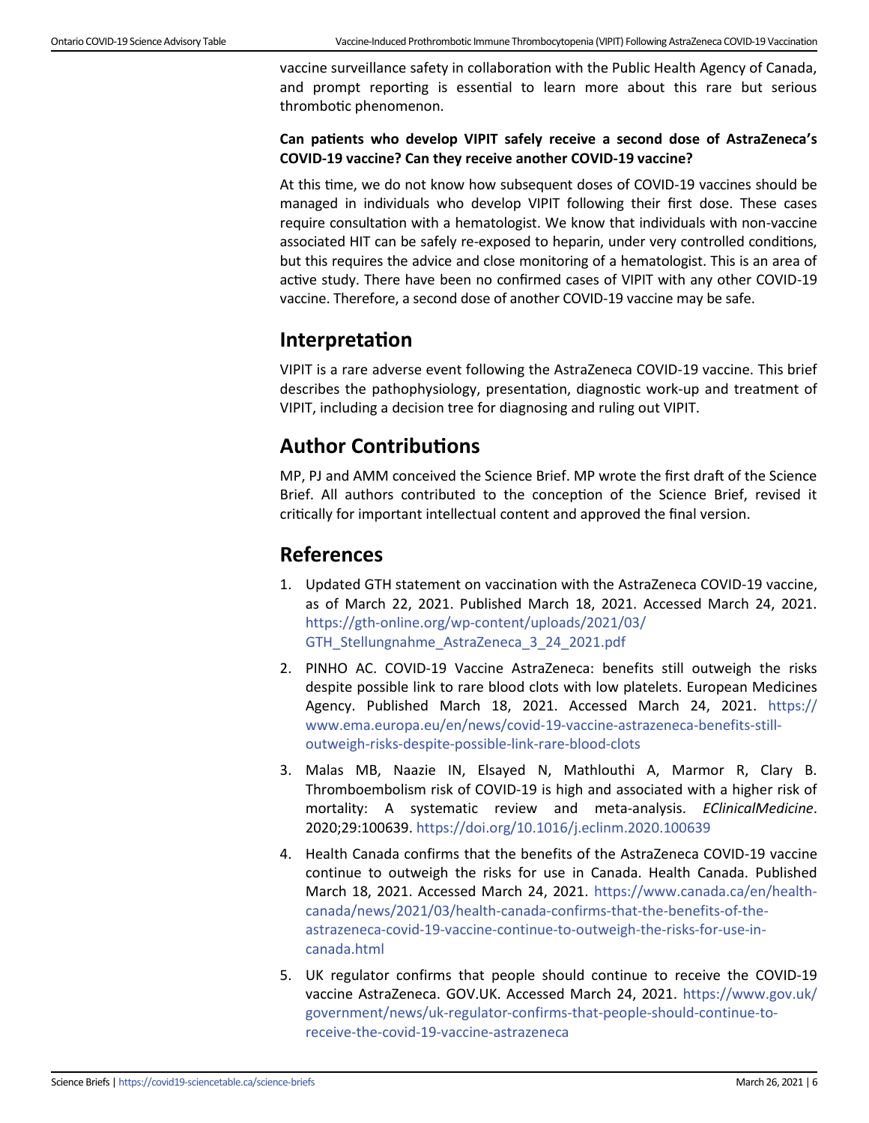vaccine surveillance safety in collaboration with the Public Health Agency of Canada, and prompt reporting is essential to learn more about this rare but serious thrombotic phenomenon.

#### **Can patients who develop VIPIT safely receive a second dose of AstraZeneca's COVID-19 vaccine? Can they receive another COVID-19 vaccine?**

At this time, we do not know how subsequent doses of COVID-19 vaccines should be managed in individuals who develop VIPIT following their first dose. These cases require consultation with a hematologist. We know that individuals with non-vaccine associated HIT can be safely re-exposed to heparin, under very controlled conditions, but this requires the advice and close monitoring of a hematologist. This is an area of active study. There have been no confirmed cases of VIPIT with any other COVID-19 vaccine. Therefore, a second dose of another COVID-19 vaccine may be safe.

### **Interpretation**

VIPIT is a rare adverse event following the AstraZeneca COVID-19 vaccine. This brief describes the pathophysiology, presentation, diagnostic work-up and treatment of VIPIT, including a decision tree for diagnosing and ruling out VIPIT.

## **Author Contributions**

MP, PJ and AMM conceived the Science Brief. MP wrote the first draft of the Science Brief. All authors contributed to the conception of the Science Brief, revised it critically for important intellectual content and approved the final version.

# **References**

- 1. Updated GTH statement on vaccination with the AstraZeneca COVID-19 vaccine, as of March 22, 2021. Published March 18, 2021. Accessed March 24, 2021. https://gth-online.org/wp-[content/uploads/2021/03/](https://gth-online.org/wp-content/uploads/2021/03/GTH_Stellungnahme_AstraZeneca_3_24_2021.pdf) [GTH\\_Stellungnahme\\_AstraZeneca\\_3\\_24\\_2021.pdf](https://gth-online.org/wp-content/uploads/2021/03/GTH_Stellungnahme_AstraZeneca_3_24_2021.pdf)
- 2. PINHO AC. COVID-19 Vaccine AstraZeneca: benefits still outweigh the risks despite possible link to rare blood clots with low platelets. European Medicines Agency. Published March 18, 2021. Accessed March 24, 2021. [https://](https://www.ema.europa.eu/en/news/covid-19-vaccine-astrazeneca-benefits-still-outweigh-risks-despite-possible-link-rare-blood-clots) [www.ema.europa.eu/en/news/covid](https://www.ema.europa.eu/en/news/covid-19-vaccine-astrazeneca-benefits-still-outweigh-risks-despite-possible-link-rare-blood-clots)-19-vaccine-astrazeneca-benefits-still[outweigh](https://www.ema.europa.eu/en/news/covid-19-vaccine-astrazeneca-benefits-still-outweigh-risks-despite-possible-link-rare-blood-clots)-risks-despite-possible-link-rare-blood-clots
- 3. Malas MB, Naazie IN, Elsayed N, Mathlouthi A, Marmor R, Clary B. Thromboembolism risk of COVID-19 is high and associated with a higher risk of mortality: A systematic review and meta-analysis. *EClinicalMedicine*. 2020;29:100639. [https://doi.org/10.1016/j.eclinm.2020.100639](https://www.thelancet.com/journals/eclinm/article/PIIS2589-5370(20)30383-7/fulltext)
- 4. Health Canada confirms that the benefits of the AstraZeneca COVID-19 vaccine continue to outweigh the risks for use in Canada. Health Canada. Published March 18, 2021. Accessed March 24, 2021. [https://www.canada.ca/en/health](https://www.canada.ca/en/health-canada/news/2021/03/health-canada-confirms-that-the-benefits-of-the-astrazeneca-covid-19-vaccine-continue-to-outweigh-the-risks-for-use-in-canada.html)[canada/news/2021/03/health](https://www.canada.ca/en/health-canada/news/2021/03/health-canada-confirms-that-the-benefits-of-the-astrazeneca-covid-19-vaccine-continue-to-outweigh-the-risks-for-use-in-canada.html)-canada-confirms-that-the-benefits-of-the[astrazeneca](https://www.canada.ca/en/health-canada/news/2021/03/health-canada-confirms-that-the-benefits-of-the-astrazeneca-covid-19-vaccine-continue-to-outweigh-the-risks-for-use-in-canada.html)-covid-19-vaccine-continue-to-outweigh-the-risks-for-use-in[canada.html](https://www.canada.ca/en/health-canada/news/2021/03/health-canada-confirms-that-the-benefits-of-the-astrazeneca-covid-19-vaccine-continue-to-outweigh-the-risks-for-use-in-canada.html)
- 5. UK regulator confirms that people should continue to receive the COVID-19 vaccine AstraZeneca. GOV.UK. Accessed March 24, 2021. [https://www.gov.uk/](https://www.gov.uk/government/news/uk-regulator-confirms-that-people-should-continue-to-receive-the-covid-19-vaccine-astrazeneca) [government/news/uk](https://www.gov.uk/government/news/uk-regulator-confirms-that-people-should-continue-to-receive-the-covid-19-vaccine-astrazeneca)-regulator-confirms-that-people-should-continue-toreceive-the-covid-19-vaccine-[astrazeneca](https://www.gov.uk/government/news/uk-regulator-confirms-that-people-should-continue-to-receive-the-covid-19-vaccine-astrazeneca)